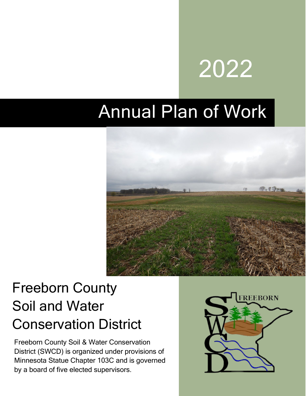# 2022

## Annual Plan of Work



## Freeborn County Soil and Water Conservation District

Freeborn County Soil & Water Conservation District (SWCD) is organized under provisions of Minnesota Statue Chapter 103C and is governed by a board of five elected supervisors.

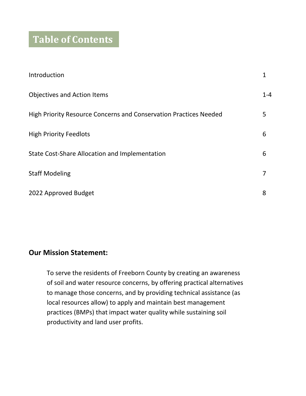## **Table of Contents**

| Introduction                                                      | 1       |
|-------------------------------------------------------------------|---------|
| <b>Objectives and Action Items</b>                                | $1 - 4$ |
| High Priority Resource Concerns and Conservation Practices Needed | 5       |
| <b>High Priority Feedlots</b>                                     | 6       |
| <b>State Cost-Share Allocation and Implementation</b>             | 6       |
| <b>Staff Modeling</b>                                             | 7       |
| 2022 Approved Budget                                              | 8       |

#### **Our Mission Statement:**

To serve the residents of Freeborn County by creating an awareness of soil and water resource concerns, by offering practical alternatives to manage those concerns, and by providing technical assistance (as local resources allow) to apply and maintain best management practices (BMPs) that impact water quality while sustaining soil productivity and land user profits.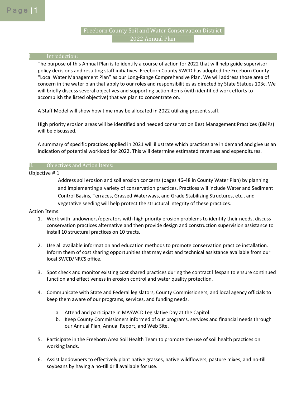### 2022 Annual Plan Freeborn County Soil and Water Conservation District

#### **Introduction:**

The purpose of this Annual Plan is to identify a course of action for 2022 that will help guide supervisor policy decisions and resulting staff initiatives. Freeborn County SWCD has adopted the Freeborn County "Local Water Management Plan" as our Long-Range Comprehensive Plan. We will address those area of concern in the water plan that apply to our roles and responsibilities as directed by State Statues 103c. We will briefly discuss several objectives and supporting action items (with identified work efforts to accomplish the listed objective) that we plan to concentrate on.

A Staff Model will show how time may be allocated in 2022 utilizing present staff.

High priority erosion areas will be identified and needed conservation Best Management Practices (BMPs) will be discussed.

A summary of specific practices applied in 2021 will illustrate which practices are in demand and give us an indication of potential workload for 2022. This will determine estimated revenues and expenditures.

#### II. Objectives and Action Items:

#### Objective # 1

Address soil erosion and soil erosion concerns (pages 46-48 in County Water Plan) by planning and implementing a variety of conservation practices. Practices will include Water and Sediment Control Basins, Terraces, Grassed Waterways, and Grade Stabilizing Structures, etc., and vegetative seeding will help protect the structural integrity of these practices.

- 1. Work with landowners/operators with high priority erosion problems to identify their needs, discuss conservation practices alternative and then provide design and construction supervision assistance to install 10 structural practices on 10 tracts.
- 2. Use all available information and education methods to promote conservation practice installation. Inform them of cost sharing opportunities that may exist and technical assistance available from our local SWCD/NRCS office.
- 3. Spot check and monitor existing cost shared practices during the contract lifespan to ensure continued function and effectiveness in erosion control and water quality protection.
- 4. Communicate with State and Federal legislators, County Commissioners, and local agency officials to keep them aware of our programs, services, and funding needs.
	- a. Attend and participate in MASWCD Legislative Day at the Capitol.
	- b. Keep County Commissioners informed of our programs, services and financial needs through our Annual Plan, Annual Report, and Web Site.
- 5. Participate in the Freeborn Area Soil Health Team to promote the use of soil health practices on working lands.
- 6. Assist landowners to effectively plant native grasses, native wildflowers, pasture mixes, and no-till soybeans by having a no-till drill available for use.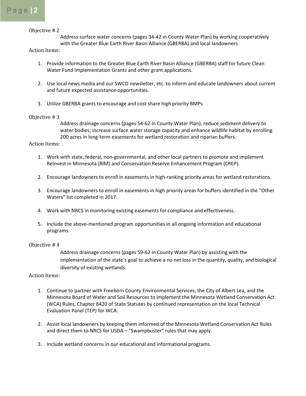#### Objective # 2

Address surface water concerns (pages 34-42 in County Water Plan) by working cooperatively with the Greater Blue Earth River Basin Alliance (GBERBA) and local landowners.

Action Items:

- 1. Provide information to the Greater Blue Earth River Basin Alliance (GBERBA) staff for future Clean Water Fund Implementation Grants and other grant applications.
- 2. Use local news media and our SWCD newsletter, etc. to inform and educate landowners about current and future expected assistance opportunities.
- 3. Utilize GBERBA grants to encourage and cost share high priority BMPs

#### Objective # 3

Address drainage concerns (pages 54-62 in County Water Plan); reduce sediment delivery to water bodies; increase surface water storage capacity and enhance wildlife habitat by enrolling 200 acres in long-term easements for wetland restoration and riparian buffers.

#### Action Items:

- 1. Work with state, federal, non-governmental, and other local partners to promote and implement ReInvest in Minnesota (RIM) and Conservation Reserve Enhancement Program (CREP).
- 2. Encourage landowners to enroll in easements in high-ranking priority areas for wetland restorations.
- 3. Encourage landowners to enroll in easements in high priority areas for buffers identified in the "Other Waters" list completed in 2017.
- 4. Work with NRCS in monitoring existing easements for compliance and effectiveness.
- 5. Include the above-mentioned program opportunities in all ongoing information and educational programs.

#### Objective # 4

Address drainage concerns (pages 59-62 in County Water Plan) by assisting with the implementation of the state's goal to achieve a no net loss in the quantity, quality, and biological diversity of existing wetlands.

- 1. Continue to partner with Freeborn County Environmental Services, the City of Albert Lea, and the Minnesota Board of Water and Soil Resources to implement the Minnesota Wetland Conservation Act (WCA) Rules, Chapter 8420 of State Statutes by continued representation on the local Technical Evaluation Panel (TEP) for WCA.
- 2. Assist local landowners by keeping them informed of the Minnesota Wetland Conservation Act Rules and direct them to NRCS for USDA – "Swampbuster" rules that may apply.
- 3. Include wetland concerns in our educational and informational programs.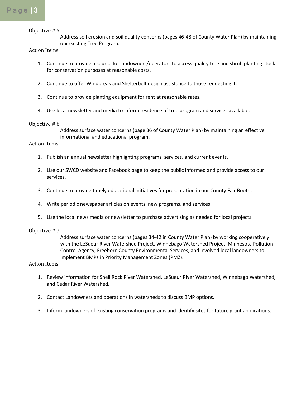#### Objective # 5

Address soil erosion and soil quality concerns (pages 46-48 of County Water Plan) by maintaining our existing Tree Program.

#### Action Items:

- 1. Continue to provide a source for landowners/operators to access quality tree and shrub planting stock for conservation purposes at reasonable costs.
- 2. Continue to offer Windbreak and Shelterbelt design assistance to those requesting it.
- 3. Continue to provide planting equipment for rent at reasonable rates.
- 4. Use local newsletter and media to inform residence of tree program and services available.

#### Objective # 6

Address surface water concerns (page 36 of County Water Plan) by maintaining an effective informational and educational program.

#### Action Items:

- 1. Publish an annual newsletter highlighting programs, services, and current events.
- 2. Use our SWCD website and Facebook page to keep the public informed and provide access to our services.
- 3. Continue to provide timely educational initiatives for presentation in our County Fair Booth.
- 4. Write periodic newspaper articles on events, new programs, and services.
- 5. Use the local news media or newsletter to purchase advertising as needed for local projects.

#### Objective # 7

Address surface water concerns (pages 34-42 in County Water Plan) by working cooperatively with the LeSueur River Watershed Project, Winnebago Watershed Project, Minnesota Pollution Control Agency, Freeborn County Environmental Services, and involved local landowners to implement BMPs in Priority Management Zones (PMZ).

- 1. Review information for Shell Rock River Watershed, LeSueur River Watershed, Winnebago Watershed, and Cedar River Watershed.
- 2. Contact Landowners and operations in watersheds to discuss BMP options.
- 3. Inform landowners of existing conservation programs and identify sites for future grant applications.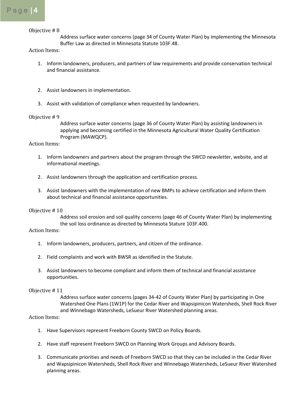Objective # 8

Address surface water concerns (page 34 of County Water Plan) by implementing the Minnesota Buffer Law as directed in Minnesota Statute 103F.48.

#### Action Items:

- 1. Inform landowners, producers, and partners of law requirements and provide conservation technical and financial assistance.
- 2. Assist landowners in implementation.
- 3. Assist with validation of compliance when requested by landowners.

#### Objective # 9

Address surface water concerns (page 36 of County Water Plan) by assisting landowners in applying and becoming certified in the Minnesota Agricultural Water Quality Certification Program (MAWQCP).

#### Action Items:

- 1. Inform landowners and partners about the program through the SWCD newsletter, website, and at informational meetings.
- 2. Assist landowners through the application and certification process.
- 3. Assist landowners with the implementation of new BMPs to achieve certification and inform them about technical and financial assistance opportunities.

#### Objective # 10

Address soil erosion and soil quality concerns (page 46 of County Water Plan) by implementing the soil loss ordinance as directed by Minnesota Stature 103F.400.

#### Action Items:

- 1. Inform landowners, producers, partners, and citizen of the ordinance.
- 2. Field complaints and work with BWSR as identified in the Statute.
- 3. Assist landowners to become compliant and inform them of technical and financial assistance opportunities.

#### Objective # 11

Address surface water concerns (pages 34-42 of County Water Plan) by participating in One Watershed One Plans (1W1P) for the Cedar River and Wapsipinicon Watersheds, Shell Rock River and Winnebago Watersheds, LeSueur River Watershed planning areas.

- 1. Have Supervisors represent Freeborn County SWCD on Policy Boards.
- 2. Have staff represent Freeborn SWCD on Planning Work Groups and Advisory Boards.
- 3. Communicate priorities and needs of Freeborn SWCD so that they can be included in the Cedar River and Wapsipinicon Watersheds, Shell Rock River and Winnebago Watersheds, LeSueur River Watershed planning areas.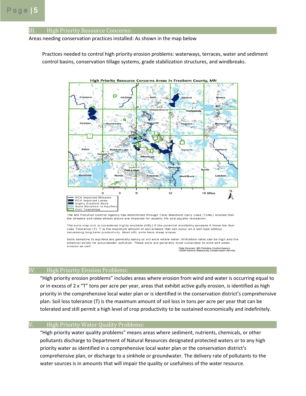#### High Priority Resource Concerns:

Areas needing conservation practices installed: As shown in the map below

Practices needed to control high priority erosion problems: waterways, terraces, water and sediment control basins, conservation tillage systems, grade stabilization structures, and windbreaks.



The MN Pollution Control Agency has determined through Total Maximum Daily Load (TDML) studies that

the streams and lakes shown above are impaired for aquatic life and aquatic recreation.

The soils map unit is considered highly erodible (HEL) if the potential erodibility exceeds 8 times the Soil Loss Tolerance (T). T is the maximum amount of soil erosion that can occur on a soil type without decreasing long-term productivity. Most HEL soils have steep slopes

Soils sensitive to aquifers are generally sandy or silt soils where water infiltration rates can be high and the potential exists for groundwater pollution. These soils are generally more vulnerable to wind and water erosion as well.

Data Sources: MN Pollution Control Agency<br>USDA-Natural Resources Conservation Service

#### IV. High Priority Erosion Problems:

"High priority erosion problems" includes areas where erosion from wind and water is occurring equal to or in excess of 2 x "T" tons per acre per year, areas that exhibit active gully erosion, is identified as high priority in the comprehensive local water plan or is identified in the conservation district's comprehensive plan. Soil loss tolerance (T) is the maximum amount of soil loss in tons per acre per year that can be tolerated and still permit a high level of crop productivity to be sustained economically and indefinitely.

#### V. High Priority Water Quality Problems:

"High priority water quality problems" means areas where sediment, nutrients, chemicals, or other pollutants discharge to Department of Natural Resources designated protected waters or to any high priority water as identified in a comprehensive local water plan or the conservation district's comprehensive plan, or discharge to a sinkhole or groundwater. The delivery rate of pollutants to the water sources is in amounts that will impair the quality or usefulness of the water resource.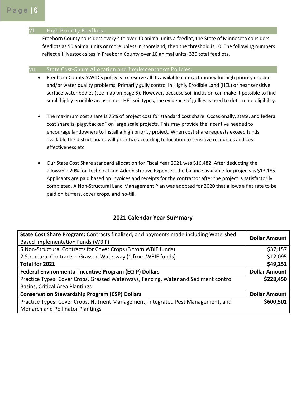#### VI. High Priority Feedlots:

Freeborn County considers every site over 10 animal units a feedlot, the State of Minnesota considers feedlots as 50 animal units or more unless in shoreland, then the threshold is 10. The following numbers reflect all livestock sites in Freeborn County over 10 animal units: 330 total feedlots.

### VII. State Cost-Share Allocation and Implementation Policies:

- Freeborn County SWCD's policy is to reserve all its available contract money for high priority erosion and/or water quality problems. Primarily gully control in Highly Erodible Land (HEL) or near sensitive surface water bodies (see map on page 5). However, because soil inclusion can make it possible to find small highly erodible areas in non-HEL soil types, the evidence of gullies is used to determine eligibility.
- The maximum cost share is 75% of project cost for standard cost share. Occasionally, state, and federal cost share is 'piggybacked" on large scale projects. This may provide the incentive needed to encourage landowners to install a high priority project. When cost share requests exceed funds available the district board will prioritize according to location to sensitive resources and cost effectiveness etc.
- Our State Cost Share standard allocation for Fiscal Year 2021 was \$16,482. After deducting the allowable 20% for Technical and Administrative Expenses, the balance available for projects is \$13,185**.** Applicants are paid based on invoices and receipts for the contractor after the project is satisfactorily completed. A Non-Structural Land Management Plan was adopted for 2020 that allows a flat rate to be paid on buffers, cover crops, and no-till.

#### **2021 Calendar Year Summary**

| State Cost Share Program: Contracts finalized, and payments made including Watershed | <b>Dollar Amount</b> |
|--------------------------------------------------------------------------------------|----------------------|
| <b>Based Implementation Funds (WBIF)</b>                                             |                      |
| 5 Non-Structural Contracts for Cover Crops (3 from WBIF funds)                       | \$37,157             |
| 2 Structural Contracts - Grassed Waterway (1 from WBIF funds)                        | \$12,095             |
| Total for 2021                                                                       | \$49,252             |
| <b>Federal Environmental Incentive Program (EQIP) Dollars</b>                        | <b>Dollar Amount</b> |
| Practice Types: Cover Crops, Grassed Waterways, Fencing, Water and Sediment control  | \$228,450            |
| Basins, Critical Area Plantings                                                      |                      |
| <b>Conservation Stewardship Program (CSP) Dollars</b>                                | <b>Dollar Amount</b> |
| Practice Types: Cover Crops, Nutrient Management, Integrated Pest Management, and    | \$600,501            |
| <b>Monarch and Pollinator Plantings</b>                                              |                      |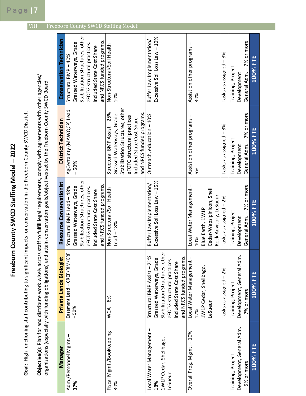Goal: High functioning staff contributing to significant impacts for conservation in the Freeborn County SWCD District. **Freeborn County SWCD Staffing Model – 2022**  Freeborn County SWCD Staffing Model - 2022

**Goal:** High functioning staff contributing to significant impacts for conservation in the Freeborn County SWCD District.

Objective(s): Plan for and distribute work wisely across staff to fulfill legal requirements, comply with agreements with other agencies/ **Objective(s):** Plan for and distribute work wisely across staff to fulfill legal requirements, comply with agreements with other agencies/ organizations (especially with funding obligations) and attain conservation goals/objectives set by the Freeborn County SWCD Board organizations (especially with funding obligations) and attain conservation goals/objectives set by the Freeborn County SWCD Board

| Manager                             | <b>Private Lands Biologist</b>  | Resource Conservationist        | District Technician             | <b>Conservation Technician</b>  |
|-------------------------------------|---------------------------------|---------------------------------|---------------------------------|---------------------------------|
| $\mathsf I$<br>Adm./Personnel Mgmt. | Easement Lead - CREP/RIM/CRP    | Structural BMP Lead - 48%       | AgCertainty (MAWQCP) Lead       | Structural BMP - 40%            |
| 37%                                 | $-50%$                          | Grassed Waterways, Grade        | $-50%$                          | Grassed Waterways, Grade        |
|                                     |                                 | Stabilization Structures, other |                                 | Stabilization Structures, other |
|                                     |                                 | eFOTG structural practices.     |                                 | eFOTG structural practices.     |
|                                     |                                 | Included State Cost Share       |                                 | Included State Cost Share       |
|                                     |                                 | and NRCS funded programs.       |                                 | and NRCS funded programs.       |
| Fiscal Mgmt./Bookkeeping -          | $WCA - 8%$                      | Non-Structural/Soil Health      | Structural BMP Assist - 25%     | Non-Structural/Soil Health -    |
| 30%                                 |                                 | $Leaf-18%$                      | Grassed Waterways, Grade        | 10%                             |
|                                     |                                 |                                 | Stabilization Structures, other |                                 |
|                                     |                                 |                                 | eFOTG structural practices      |                                 |
|                                     |                                 |                                 | Included State Cost Share       |                                 |
|                                     |                                 |                                 | and NRCS funded programs.       |                                 |
| Local Water Management -            | Structural BMP Assist - 21%     | Buffer Law Implementation/      | Outreach, education - 10%       | Buffer Law Implementation/      |
| 18%                                 | Grassed Waterways, Grade        | Excessive Soil Loss Law - 15%   |                                 | Excessive Soil Loss Law - 10%   |
| 1W1P Cedar, Shellbago,              | Stabilization Structures, other |                                 |                                 |                                 |
| LeSueur                             | eFOTG structural practices      |                                 |                                 |                                 |
|                                     | Included State Cost Share       |                                 |                                 |                                 |
|                                     | and NRCS funded programs.       |                                 |                                 |                                 |
| Overall Prog. Mgmt. - 10%           | Local Water Management-         | Local Water Management-         | Assist on other programs -      | Assist on other programs -      |
|                                     | 12%                             | 10%                             | 5%                              | 30%                             |
|                                     | 1W1P Cedar, Shellbago,          | Blue Earth, 1W1P                |                                 |                                 |
|                                     | LeSueur                         | Cedar/Wapsipinicon, Shell       |                                 |                                 |
|                                     |                                 | Rock Advisory, LeSueur          |                                 |                                 |
|                                     | Tasks as assigned - 2%          | Tasks as assigned - 2%          | Tasks as assigned - 3%          | Tasks as assigned - 3%          |
| Training, Project                   | Training, Project               | Training, Project               | Training, Project               | Training, Project               |
| Development, General Adm.           | Development, General Adm        | Development                     | Development                     | Development                     |
| 5% or more<br>$\mathbf{I}$          | -7% or more                     | General Adm. - 7% or more       | General Adm. - 7% or more       | General Adm. - 7% or more       |
| <b>100% FTE</b>                     | <b>100% FTE</b>                 | <b>100% FTE</b>                 | <b>100% FTE</b>                 | <b>100% FTE</b>                 |